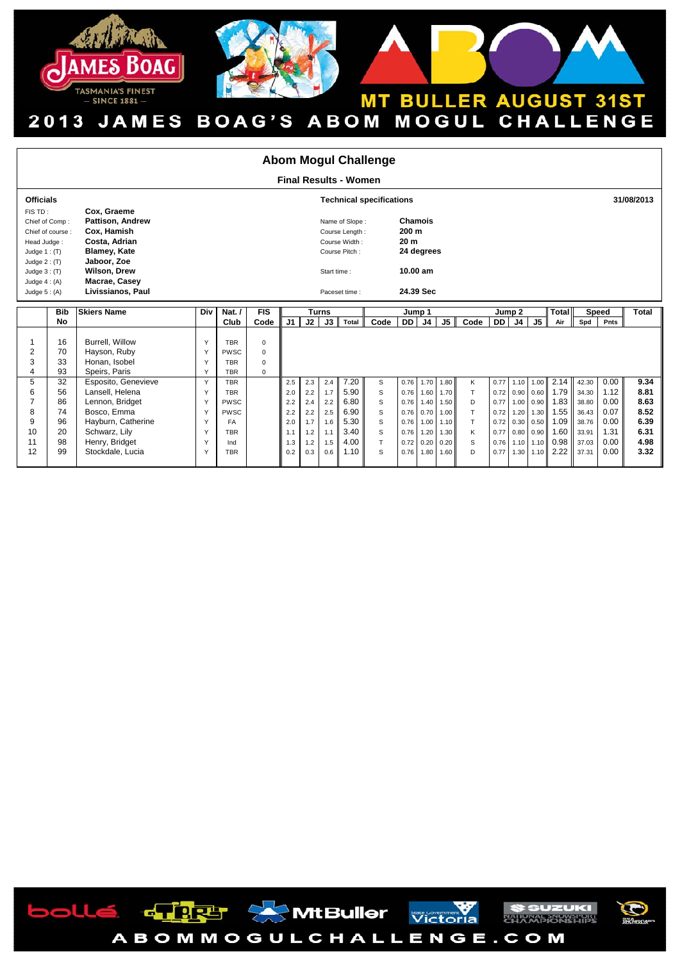



## **MT BULLER AUGUST 31ST** 2013 JAMES BOAG'S ABOM MOGUL CHALLENGE

| <b>Abom Mogul Challenge</b>                                                                                                                            |                              |                                                                                                                                                                           |        |                           |                            |                                                                                                    |            |              |              |                                                                            |              |              |              |            |        |      |      |                                           |                |              |              |
|--------------------------------------------------------------------------------------------------------------------------------------------------------|------------------------------|---------------------------------------------------------------------------------------------------------------------------------------------------------------------------|--------|---------------------------|----------------------------|----------------------------------------------------------------------------------------------------|------------|--------------|--------------|----------------------------------------------------------------------------|--------------|--------------|--------------|------------|--------|------|------|-------------------------------------------|----------------|--------------|--------------|
|                                                                                                                                                        | <b>Final Results - Women</b> |                                                                                                                                                                           |        |                           |                            |                                                                                                    |            |              |              |                                                                            |              |              |              |            |        |      |      |                                           |                |              |              |
| <b>Officials</b><br><b>Technical specifications</b>                                                                                                    |                              |                                                                                                                                                                           |        |                           |                            |                                                                                                    |            |              |              |                                                                            |              |              |              | 31/08/2013 |        |      |      |                                           |                |              |              |
| FIS TD:<br>Chief of Comp:<br>Chief of course:<br>Head Judge:<br>Judge $1:$ (T)<br>Judge $2: (T)$<br>Judge $3:$ (T)<br>Judge $4: (A)$<br>Judge $5: (A)$ |                              | Cox, Graeme<br><b>Pattison, Andrew</b><br>Cox, Hamish<br>Costa, Adrian<br><b>Blamey, Kate</b><br>Jaboor, Zoe<br><b>Wilson, Drew</b><br>Macrae, Casey<br>Livissianos, Paul |        |                           |                            | Name of Slope:<br>Course Length:<br>Course Width:<br>Course Pitch:<br>Start time:<br>Paceset time: |            |              |              | Chamois<br>200 m<br>20 <sub>m</sub><br>24 degrees<br>10.00 am<br>24.39 Sec |              |              |              |            |        |      |      |                                           |                |              |              |
|                                                                                                                                                        | <b>Bib</b>                   | <b>Skiers Name</b>                                                                                                                                                        | Div    | Nat. $/$                  | <b>FIS</b>                 |                                                                                                    |            | <b>Turns</b> |              | Jump 1                                                                     |              |              |              |            | Jump 2 |      |      | Total<br><b>Speed</b>                     |                |              | Total        |
|                                                                                                                                                        | No                           |                                                                                                                                                                           |        | Club                      | Code                       | J <sub>1</sub>                                                                                     | J2         | J3           | Total        | Code                                                                       | DD I         | J4           | J5           | Code       | DD J4  |      | J5   | Air                                       | Spd            | Pnts         |              |
| -1<br>$\overline{2}$                                                                                                                                   | 16<br>70                     | <b>Burrell</b> . Willow<br>Hayson, Ruby                                                                                                                                   | Y<br>Y | <b>TBR</b><br><b>PWSC</b> | $\mathbf 0$<br>$\mathbf 0$ |                                                                                                    |            |              |              |                                                                            |              |              |              |            |        |      |      |                                           |                |              |              |
| 3                                                                                                                                                      | 33                           | Honan, Isobel                                                                                                                                                             | Υ      | <b>TBR</b>                | $\mathbf 0$                |                                                                                                    |            |              |              |                                                                            |              |              |              |            |        |      |      |                                           |                |              |              |
| $\overline{4}$                                                                                                                                         | 93                           | Speirs, Paris                                                                                                                                                             | Y      | <b>TBR</b>                | $\mathbf 0$                |                                                                                                    |            |              |              |                                                                            |              |              |              |            |        |      |      |                                           |                |              |              |
| 5                                                                                                                                                      | 32                           | Esposito, Genevieve                                                                                                                                                       | Y      | <b>TBR</b>                |                            | 2.5                                                                                                | 2.3        | 2.4          | 7.20         | s                                                                          | 0.76         | 1.70         | 1.80         | К          |        |      |      | $0.77$ 1.10 1.00 2.14                     | 42.30          | 0.00         | 9.34         |
| 6                                                                                                                                                      | 56                           | Lansell, Helena                                                                                                                                                           | Y      | <b>TBR</b>                |                            | 2.0                                                                                                | 2.2        | 1.7          | 5.90         | S                                                                          | 0.76         | 1.60         | 1.70         | T.         |        |      |      | $0.72$ 0.90 0.60 1.79                     | 34.30          | 1.12         | 8.81         |
| $\overline{7}$                                                                                                                                         | 86                           | Lennon, Bridget                                                                                                                                                           | Y      | PWSC                      |                            | 2.2                                                                                                | 2.4        | 2.2          | 6.80         | S                                                                          | 0.76         | 1.40         | 1.50         | D          | 0.77   |      |      | 1.00 0.90 1.83                            | 38.80          | 0.00         | 8.63         |
| 8                                                                                                                                                      | 74                           | Bosco, Emma                                                                                                                                                               | Υ      | PWSC                      |                            | 2.2                                                                                                | 2.2        | 2.5          | 6.90         | S                                                                          | 0.76         | 0.70         | 1.00         | T          |        |      |      | 0.72 1.20 1.30 1.55                       | 36.43          | 0.07         | 8.52         |
| 9<br>10                                                                                                                                                | 96<br>20                     | Hayburn, Catherine<br>Schwarz, Lily                                                                                                                                       | Y<br>Y | FA<br><b>TBR</b>          |                            | 2.0<br>1.1                                                                                         | 1.7<br>1.2 | 1.6<br>1.1   | 5.30<br>3.40 | S<br>S                                                                     | 0.76<br>0.76 | 1.00<br>1.20 | 1.10<br>1.30 | T.<br>Κ    | 0.77   |      |      | $0.72$ 0.30 0.50 1.09<br>$0.80$ 0.90 1.60 | 38.76<br>33.91 | 0.00<br>1.31 | 6.39<br>6.31 |
| 11                                                                                                                                                     | 98                           | Henry, Bridget                                                                                                                                                            | Υ      | Ind                       |                            | 1.3                                                                                                | 1.2        | 1.5          | 4.00         | T.                                                                         | 0.72         | 0.20         | 0.20         | S          | 0.76   | 1.10 |      | 1.10 0.98                                 | 37.03          | 0.00         | 4.98         |
|                                                                                                                                                        |                              |                                                                                                                                                                           |        |                           |                            |                                                                                                    |            |              |              |                                                                            |              |              |              |            |        |      |      |                                           |                |              |              |
| 12                                                                                                                                                     | 99                           | Stockdale, Lucia                                                                                                                                                          | Υ      | <b>TBR</b>                |                            | 0.2                                                                                                | 0.3        | 0.6          | 1.10         | S                                                                          | 0.76         | 1.80         | 1.60         | D          | 0.77   | 1.30 | 1.10 | 2.22                                      | 37.31          | 0.00         | 3.32         |

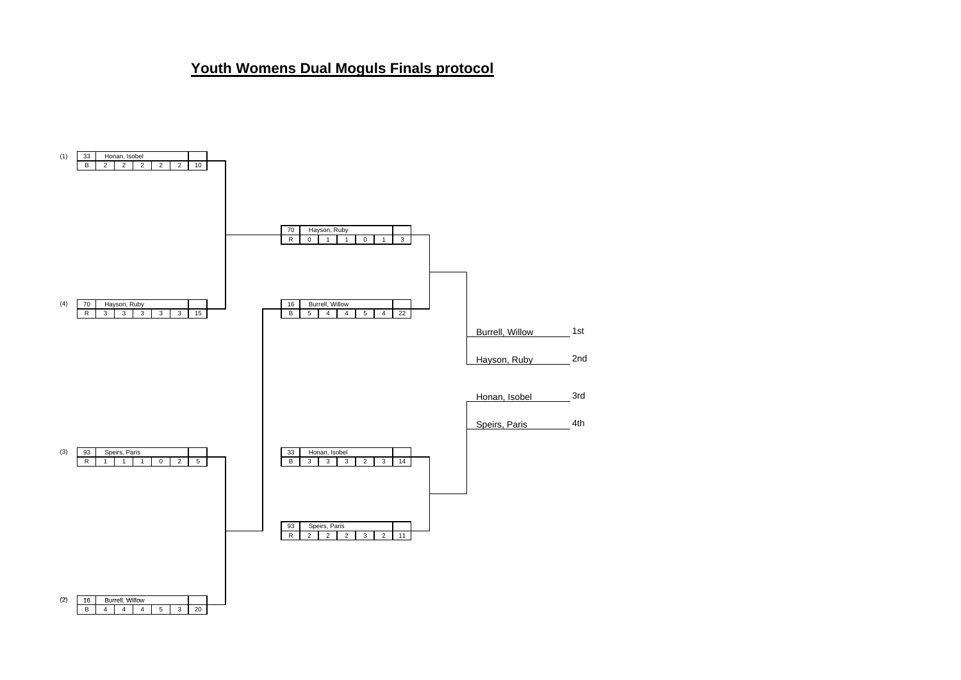## **Youth Womens Dual Moguls Finals protocol**